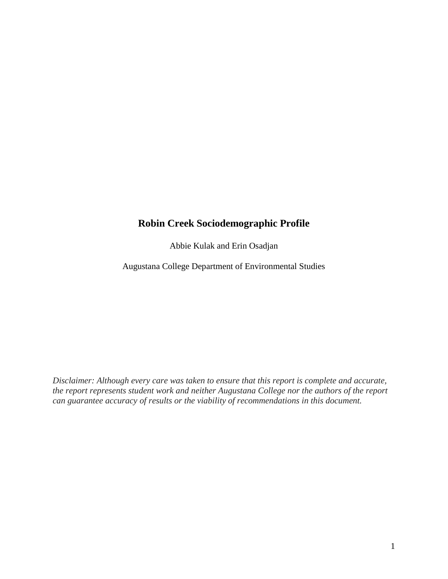## **Robin Creek Sociodemographic Profile**

Abbie Kulak and Erin Osadjan

Augustana College Department of Environmental Studies

*Disclaimer: Although every care was taken to ensure that this report is complete and accurate, the report represents student work and neither Augustana College nor the authors of the report can guarantee accuracy of results or the viability of recommendations in this document.*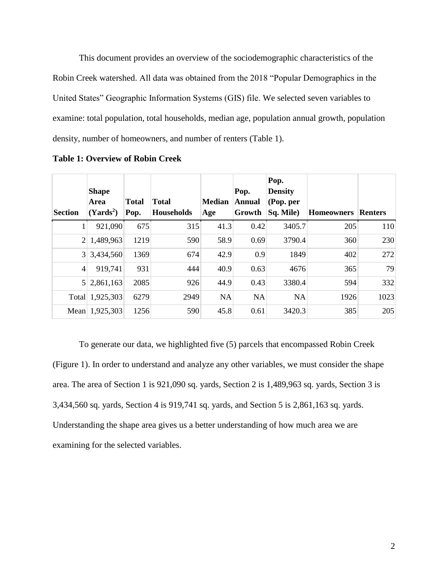This document provides an overview of the sociodemographic characteristics of the Robin Creek watershed. All data was obtained from the 2018 "Popular Demographics in the United States" Geographic Information Systems (GIS) file. We selected seven variables to examine: total population, total households, median age, population annual growth, population density, number of homeowners, and number of renters (Table 1).

|                | <b>Shape</b>          |              |                   |               | Pop.          | Pop.<br><b>Density</b> |                   |                |
|----------------|-----------------------|--------------|-------------------|---------------|---------------|------------------------|-------------------|----------------|
|                | Area                  | <b>Total</b> | <b>Total</b>      | <b>Median</b> | <b>Annual</b> | (Pop. per              |                   |                |
| <b>Section</b> | (Yards <sup>2</sup> ) | Pop.         | <b>Households</b> | Age           | Growth        | Sq. Mile)              | <b>Homeowners</b> | <b>Renters</b> |
|                | 921,090               | 675          | 315               | 41.3          | 0.42          | 3405.7                 | 205               | 110            |
| $\overline{2}$ | 1,489,963             | 1219         | 590               | 58.9          | 0.69          | 3790.4                 | 360               | 230            |
| 3 <sup>1</sup> | 3,434,560             | 1369         | 674               | 42.9          | 0.9           | 1849                   | 402               | 272            |
| 4              | 919,741               | 931          | 444               | 40.9          | 0.63          | 4676                   | 365               | 79             |
|                | 5 2,861,163           | 2085         | 926               | 44.9          | 0.43          | 3380.4                 | 594               | 332            |
|                | Total 1,925,303       | 6279         | 2949              | <b>NA</b>     | <b>NA</b>     | <b>NA</b>              | 1926              | 1023           |
|                | Mean 1,925,303        | 1256         | 590               | 45.8          | 0.61          | 3420.3                 | 385               | 205            |

**Table 1: Overview of Robin Creek**

To generate our data, we highlighted five (5) parcels that encompassed Robin Creek (Figure 1). In order to understand and analyze any other variables, we must consider the shape area. The area of Section 1 is 921,090 sq. yards, Section 2 is 1,489,963 sq. yards, Section 3 is 3,434,560 sq. yards, Section 4 is 919,741 sq. yards, and Section 5 is 2,861,163 sq. yards. Understanding the shape area gives us a better understanding of how much area we are examining for the selected variables.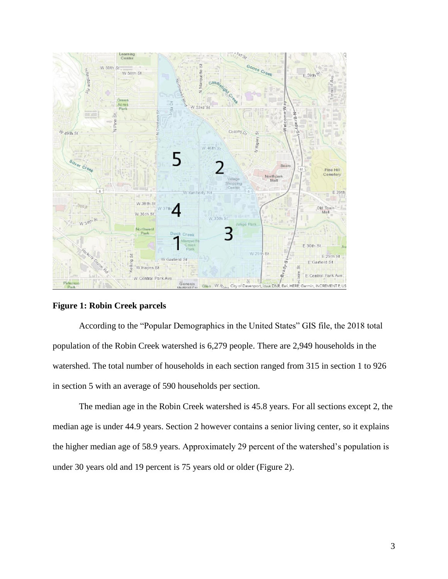

**Figure 1: Robin Creek parcels**

According to the "Popular Demographics in the United States" GIS file, the 2018 total population of the Robin Creek watershed is 6,279 people. There are 2,949 households in the watershed. The total number of households in each section ranged from 315 in section 1 to 926 in section 5 with an average of 590 households per section.

The median age in the Robin Creek watershed is 45.8 years. For all sections except 2, the median age is under 44.9 years. Section 2 however contains a senior living center, so it explains the higher median age of 58.9 years. Approximately 29 percent of the watershed's population is under 30 years old and 19 percent is 75 years old or older (Figure 2).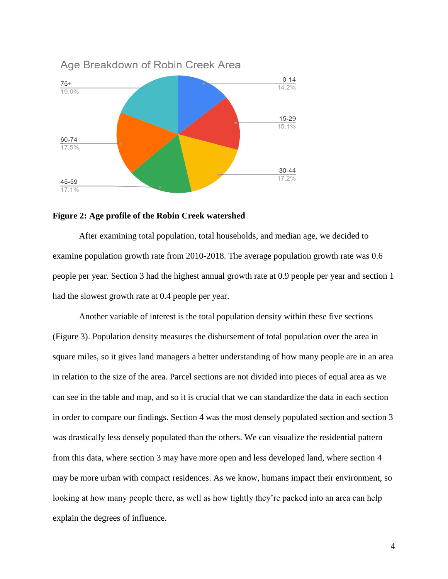

## **Figure 2: Age profile of the Robin Creek watershed**

After examining total population, total households, and median age, we decided to examine population growth rate from 2010-2018. The average population growth rate was 0.6 people per year. Section 3 had the highest annual growth rate at 0.9 people per year and section 1 had the slowest growth rate at 0.4 people per year.

Another variable of interest is the total population density within these five sections (Figure 3). Population density measures the disbursement of total population over the area in square miles, so it gives land managers a better understanding of how many people are in an area in relation to the size of the area. Parcel sections are not divided into pieces of equal area as we can see in the table and map, and so it is crucial that we can standardize the data in each section in order to compare our findings. Section 4 was the most densely populated section and section 3 was drastically less densely populated than the others. We can visualize the residential pattern from this data, where section 3 may have more open and less developed land, where section 4 may be more urban with compact residences. As we know, humans impact their environment, so looking at how many people there, as well as how tightly they're packed into an area can help explain the degrees of influence.